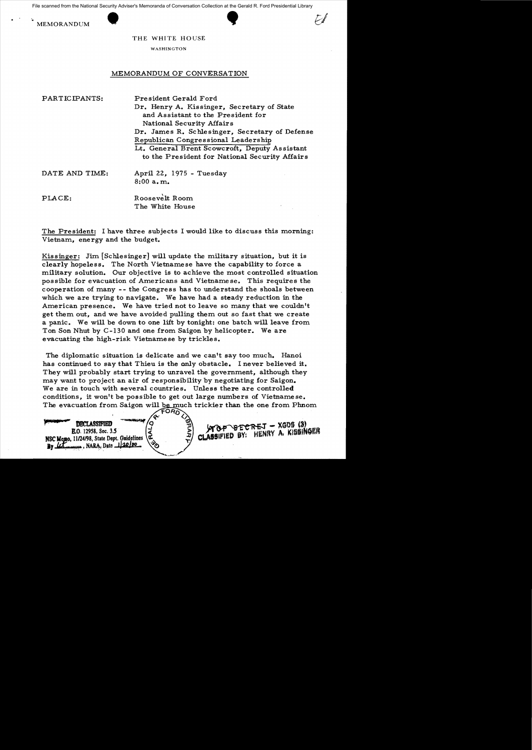Example from the National Security Adviser's Memoranda of Conversation Collection at the Gera<br>MEMORANDUM THE WHITE HOUSE File scanned from the National Security Adviser's Memoranda of Conversation Collection at the Gerald R. Ford Presidential Library





THE WHITE HOUSE

WASHINGTON

## MEMORANDUM OF CONVERSATION

| PARTICIPANTS:  | President Gerald Ford<br>Dr. Henry A. Kissinger, Secretary of State<br>and Assistant to the President for<br>National Security Affairs                                                   |
|----------------|------------------------------------------------------------------------------------------------------------------------------------------------------------------------------------------|
|                | Dr. James R. Schlesinger, Secretary of Defense<br>Republican Congressional Leadership<br>Lt. General Brent Scowcroft, Deputy Assistant<br>to the President for National Security Affairs |
| DATE AND TIME: | April 22, 1975 - Tuesday<br>8:00a.m.                                                                                                                                                     |
| PLACE:         | Roosevelt Room<br>The White House                                                                                                                                                        |

The President: I have three subjects I would like to discuss this morning: Vietnam, energy and the budget.

Kissinger: Jim [Schlesinger] will update the military situation, but it is clearly hopeless. The North Vietnamese have the capability to force a military solution. Our objective is to achieve the most controlled situation possible for evacuation of Americans and Vietname se. This requires the cooperation of many -- the Congress has to understand the shoals between which we are trying to navigate. We have had a steady reduction in the American presence. We have tried not to leave so many that we couldn't get them out, and we have avoided pulling them out so fast that we create a panic. We will be down to one lift by tonight: one batch will leave from Ton Son Nhut by C-130 and one from Saigon by helicopter. We are evacuating the high-risk Vietnamese by trickles.

The diplomatic situation is delicate and we can't say too much. Hanoi has continued to say that Thieu is the only obstacle. I never believed it. They will probably start trying to unravel the government, although they may want to project an air of responsibility by negotiating for Saigon. We are in touch with several countries. Unless there are controlled conditions, it won't be possible to get out large numbers of Vietnamese. The evacuation from Saigon will be much trickier than the one from Phnom  $\sqrt{FOR}$ 

CLASSIFIED BY:

<del>nej</del> – XGDS (3)<br>Henry A, Kissinger

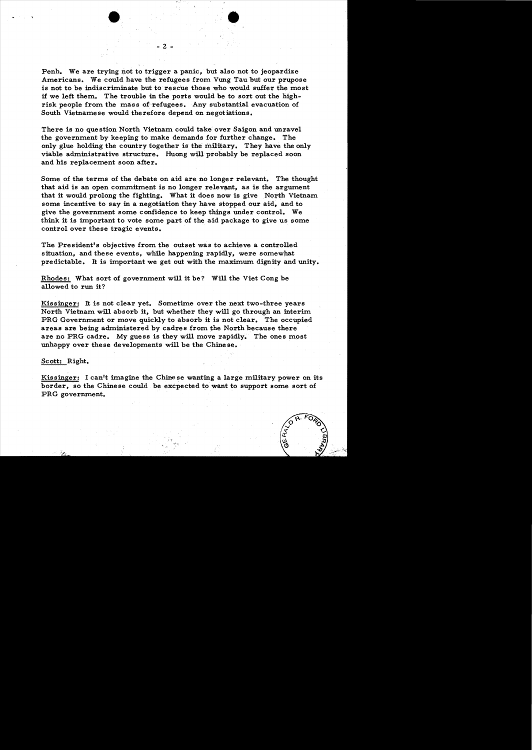Penh. We are trying not to trigger a panic, but also not to jeopardize Americans. We could have the refugees from Vung Tau but our prupose is not to be indiscriminate but to rescue those who would suffer the most if we left them. The trouble in the ports would be to sort out the highrisk people from the mass of refugees. Any substantial evacuation of South Vietnamese would therefore depend on negotiations.

- 2

There is no question North Vietnam could take over Saigon and unravel the government by keeping to make demands for further change. The only glue holding the country together is the military. They have the only viable administrative structure. Huong will probably be replaced soon and his replacement soon after.

Some of the terms of the debate on aid are no longer relevant. The thought that aid is an open commitment is no longer relevant, as is the argument that it would prolong the fighting. What it does now is give North Vietnam some incentive to say in a negotiation they have stopped our aid, and to give the government some confidence to keep things under control. We think it is important to vote some part of the aid package to give us some control over these tragic events.

The President's objective from the outset was to achieve a controlled situation, and these events, while happening rapidly, were somewhat predictable. It is important we get out with the maximum dignity and unity.

Rhodes: What sort of government will it be? Will the Viet Cong be allowed to run it?

Kissinger: It is not clear yet. Sometime over the next two-three years North Vietnam will absorb it. but whether they will go through an interim PRG Government or move quickly to absorb it is not clear. The occupied areas are being administered by cadre s from the North because there are no PRG cadre. My guess is they will move rapidly. The ones most unhappy over these developments will be the Chinese.

## Scott: Right.

Kissinger: I can't imagine the Chinese wanting a large military power on its border. so the Chinese could be excpected to want to support some sort of PRG government.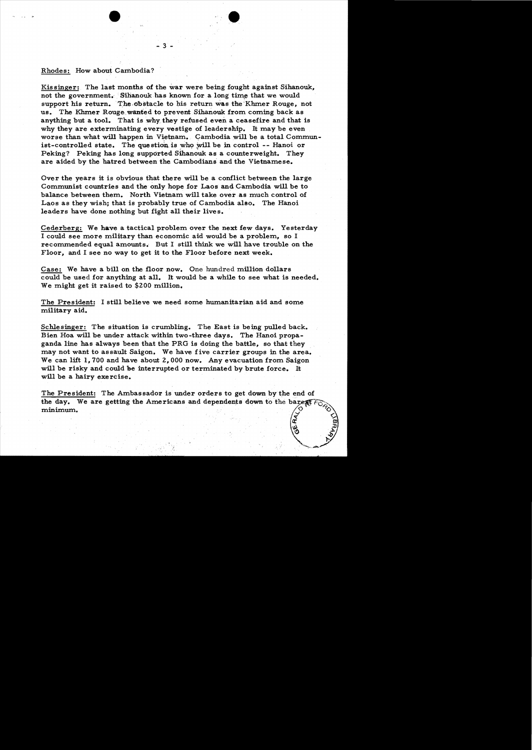## Rhodes: How about Cambodia?

Kissinger: The last months of the war were being fought against Sihanouk, not the government. Sihanouk has known for a long time that we would support his return. The obstacle to his return was the Khmer Rouge, not us. The Khmer Rouge wanted to prevent Sihanouk from coming back as anything but a tool. That is why they refused even a ceasefire and that is why they are exterminating every vestige of leadership. It may be even worse than what will happen in Vietnam. Cambodia will be a total Communist-controlled state. The question is who will be in control -- Hanoi or Peking? Peking has long supported Sihanouk as a counterweight. They are aided by the hatred between the Cambodians and the Vietnamese.

Over the years it is obvious that there will be a conflict between the large Communist countries and the only hope for Laos and Cambodia will be to balance between them. North Vietnam will take over as much control of Laos as they wish; that is probably true of Cambodia also. The Hanoi leaders have done nothing but fight all their lives.

Cederberg: We have a tactical problem over the next few days. Yesterday I could see more military than economic aid would be a problem, so I recommended equal amounts. But I still think we will have trouble on the Floor, and I see no way to get it to the Floor before next week.

Case: We have a bill on the floor now. One hundred million dollars could be used for anything at all. It would be a while to see what is needed. We might get it raised to \$200 million.

The President: I still believe we need some humanitarian aid and some military aid.

Schlesinger: The situation is crumbling. The East is being pulled back. Bien Hoa will be under attack within two-three days. The Hanoi propaganda line has always been that the PRG is doing the battle, so that they may not want to assault Saigon. We have five carrier groups in the area. We can lift 1,700 and have about 2,000 now. Any evacuation from Saigon will be risky and could be interrupted or terminated by brute force. It will be a hairy exercise.

The President: The Ambassador is under orders to get down by the end of the day. We are getting the Americans and dependents down to the barest? minimum.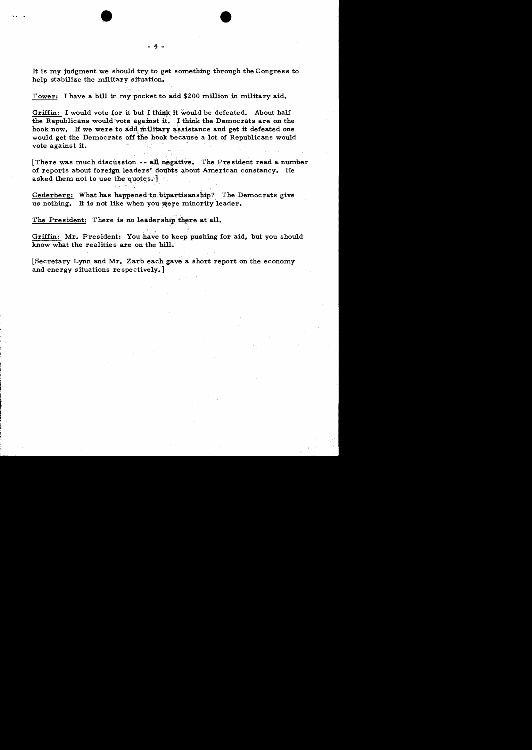It is my judgment we should try to get something through the Congress to help stabilize the military situation.

Tower: I have a bill in my pocket to add \$200 million in military aid.

Griffin: I would vote for it but I think it would be defeated. About half the Rapublicans would vote against it. I think the Democrats are on the hook now. If we were to add military assistance and get it defeated one would get the Democrats off the hook because a lot of Republicans would vote against it.

[There was much discussion  $--$  all negative. The President read a number of reports about foreign leaders<sup>t</sup> doubts about American constancy. He asked them not to use the quotes. $\}$ 

Cederberg: What has happened to bipartisanship? The Democrats give us nothing. It is not like when you were minority leader.

The President: There is no leadership there at all.

Griffin: Mr. President: You have to keep pushing for aid, but you should know what the realities are on the hill.

. ~ ."~.'

[Secretary Lynn and Mr. Zarb each gave a short report on the economy and energy situations respectively.]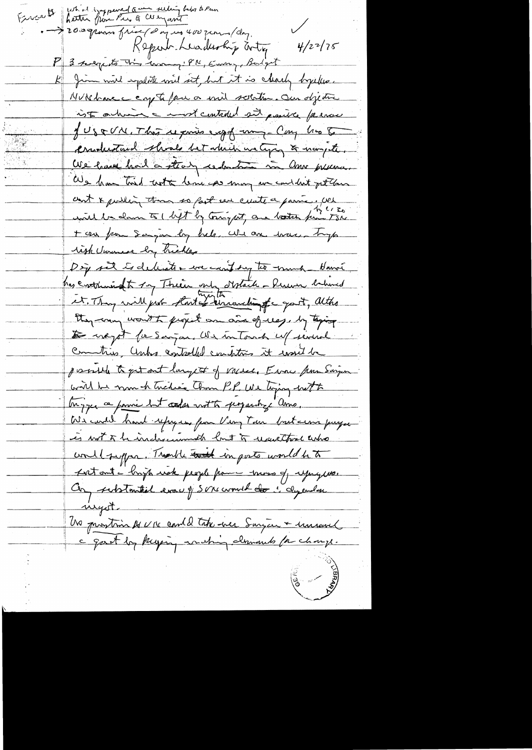Fireat hetter from the & company baby of men 19 minutes of company of the spant  $4/22/75$ Kepern Leadership artig P 3 suggests this comment PN, Emmy, Budget Jim will importate will set, but it is clearly byeless.  $\frac{\mu_{\parallel}}{\pi}$ NURhavec copte four a mil solition. Our objective ist a him a most controled sit positive farmer JUSEUN, This reports expo un Cong his to conductural shoals bet which we type to name the. We have had a straty reduction in anno presence. We have think with leme as may we contlut gettom ant & public, then so fast een cuite a parme. Wel + au from Sampon by help. We are trace tryp tigh Universe by hickley Doy set to delive to we can't by to much - Hanoi. has crothinist by Their only distant - Rum behoved et. They will got that if sincerelingthe good, altho they can wont to project on and of us, by taging De vægot for Sanjon. We intond u/ seined Commitives, Unha controlled conditions it would possible to get out largest of vacue, Error from Sargen will be mon h trédiée Chan P.P. We tiging with Myze a parie but codes not to programing amo, We could hard refugee from Very Tan but ceries payer is not to be incluse und but to receit that who would suffer. Though that in posts would be to fort ant - brigh work people from moss of upique. Con substantial evac y Sonc court des inclusions wyst. Un prostim 14 V 15 comb d'une surgent imient **REAR ASSESS**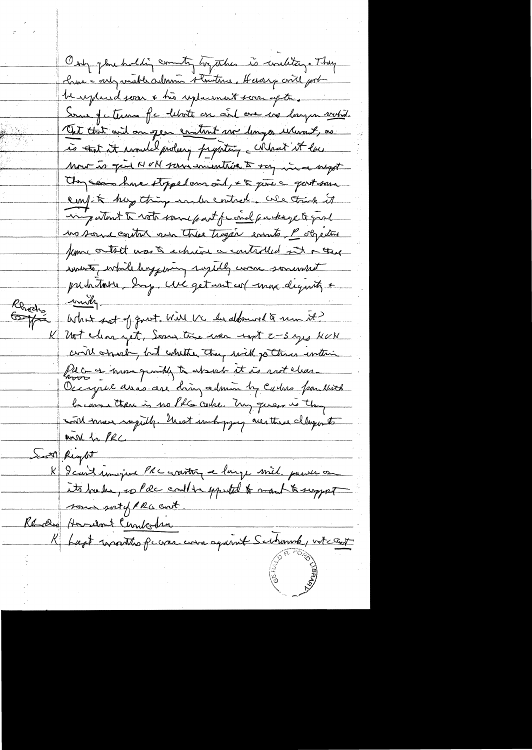Only jour holding country hypothes is unlitery. They chase continuable administratives. Hereing conte port May paud soon & his replacement soon of the Some of a terms for leboth on and one are longen withd. Cht that wil an jean content me longer where it, as is that it would prolucy preporting correct it law Mont to give N VN para uniontrise to say in a sugget Any can have stopped ans oit, + & just a good some confit hay thing inder entred. We trink it ingutant to rato same part friend purkage to good no some contre ver these tragén events. P objective fume outset was to echicid a controlled sit a there write, while hoppening ruselly come somewhat putatoires day une get unt col max dequity + mily-Renews<br>Graph What sot of quot. Will UC he aldmood to me it? K Not clear yet, Som time were next 2-3 yes NUN could operate, but whether they said jo three entire I Co as more quickly to absent it is not clear. Occapil avec are dring admin by Caches poulstet because there is no PhG codre. Try queen is they with most rapidly. Unest unboying are three clayonts wish for PRC Seatt Regtit I Regist imagine PRC crantery e large will passer on sous soit plus ant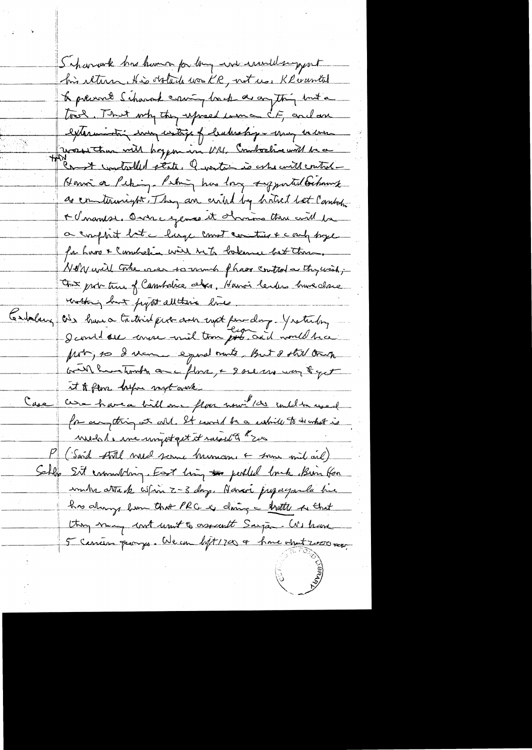Scharwek has kumo for long and invital support his iltura. His obtacle was KR, not use Kleruntal to prevent Scharack craning back as anything but a took, That why they upred we cit, and are externantin in contains of badrahop - may encour Terrest tous will hoppen in U/11, Combastine with be a Honor a Peting. Peting has long supported behomet so communicator. They are certed by britist bet Cambon A charasse. Once expose et d'univer three with for a complait bit a large count contier + contrapper for hars & Constration with he to believe bet there. Not y will take one to much phase control a thy wish; Out probabile of Cambrice above, Hanoi lendes brune close thattering but project all there live, tendablery as have trataint put and not finding . Y raturly I contit de conse vil tom pour acil nomed tra from, so I vem equal moto, But & still trup will have tombe are flowe, + 2 see us want get it to flow before myt overk are have a bill one floor now " 100 under used  $rac{c}{2}$ for anything at all. It would be a while to in what is medal, me unigot get it raised to \$200 (Sord still med scene human + som mil ail) Sehlo Sit enumerary. Fort him to perhled look Bun for muhr attack when Z-3 day. Havari jugagemla hue has always from that PRC as doing a trattle of that they many look unit & assumt Sarjan. We have 5 carriers promps. We can ligt 1700 or have about 2000 more,